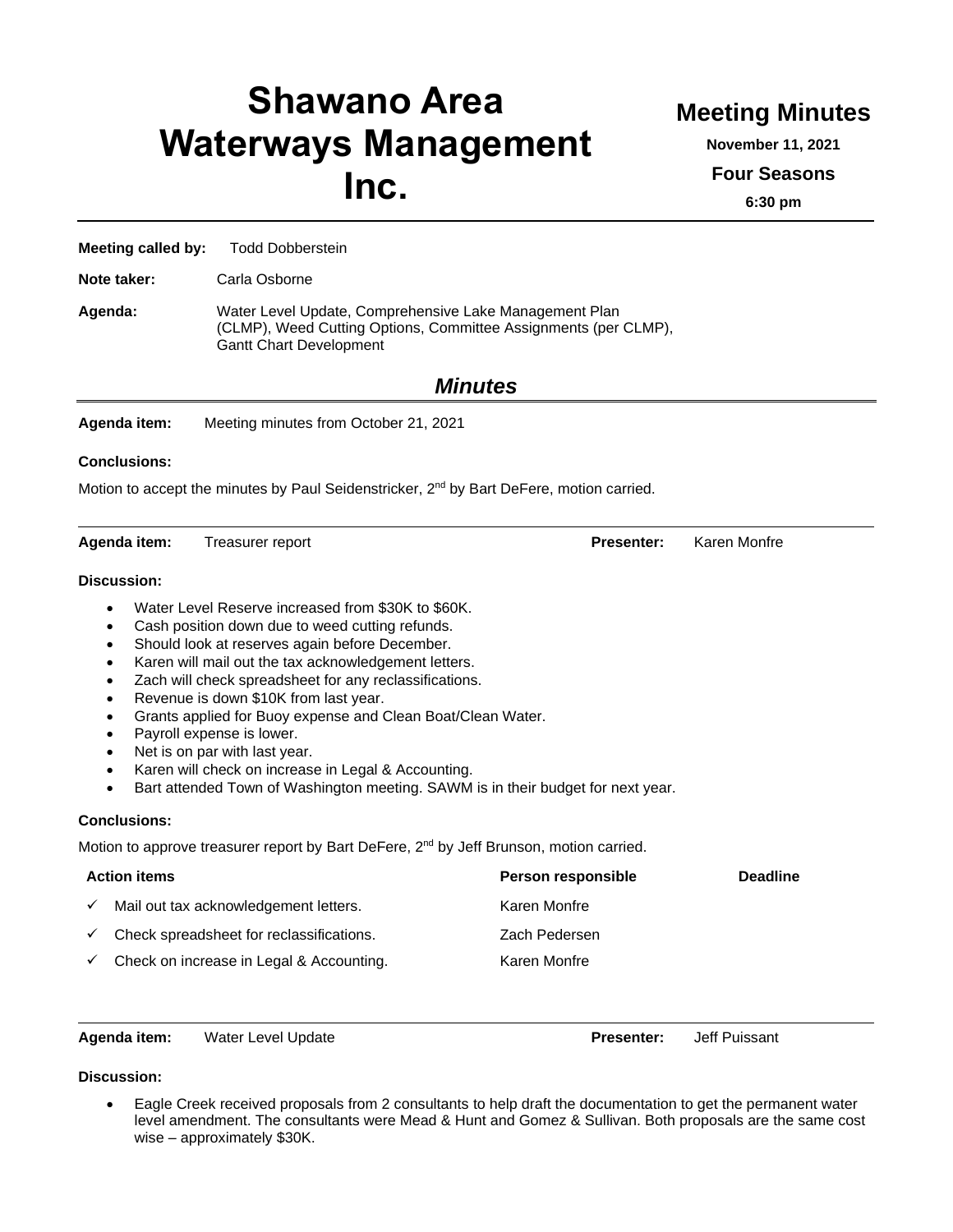# **Shawano Area Waterways Management Inc.**

## **Meeting Minutes**

**November 11, 2021**

**Four Seasons**

**6:30 pm**

**Meeting called by:** Todd Dobberstein

**Note taker:** Carla Osborne

**Agenda:** Water Level Update, Comprehensive Lake Management Plan (CLMP), Weed Cutting Options, Committee Assignments (per CLMP), Gantt Chart Development

### *Minutes*

**Agenda item:** Meeting minutes from October 21, 2021

#### **Conclusions:**

Motion to accept the minutes by Paul Seidenstricker, 2<sup>nd</sup> by Bart DeFere, motion carried.

**Agenda item:** Treasurer report **Presenter:** Karen Monfre

#### **Discussion:**

- Water Level Reserve increased from \$30K to \$60K.
- Cash position down due to weed cutting refunds.
- Should look at reserves again before December.
- Karen will mail out the tax acknowledgement letters.
- Zach will check spreadsheet for any reclassifications.
- Revenue is down \$10K from last year.
- Grants applied for Buoy expense and Clean Boat/Clean Water.
- Payroll expense is lower.
- Net is on par with last year.
- Karen will check on increase in Legal & Accounting.
- Bart attended Town of Washington meeting. SAWM is in their budget for next year.

#### **Conclusions:**

Motion to approve treasurer report by Bart DeFere, 2<sup>nd</sup> by Jeff Brunson, motion carried.

| <b>Action items</b> |                                          | Person responsible | <b>Deadline</b> |
|---------------------|------------------------------------------|--------------------|-----------------|
|                     | Mail out tax acknowledgement letters.    | Karen Monfre       |                 |
|                     | Check spreadsheet for reclassifications. | Zach Pedersen      |                 |
|                     | Check on increase in Legal & Accounting. | Karen Monfre       |                 |

**Agenda item:** Water Level Update **Presenter:** Jeff Puissant

#### **Discussion:**

• Eagle Creek received proposals from 2 consultants to help draft the documentation to get the permanent water level amendment. The consultants were Mead & Hunt and Gomez & Sullivan. Both proposals are the same cost wise – approximately \$30K.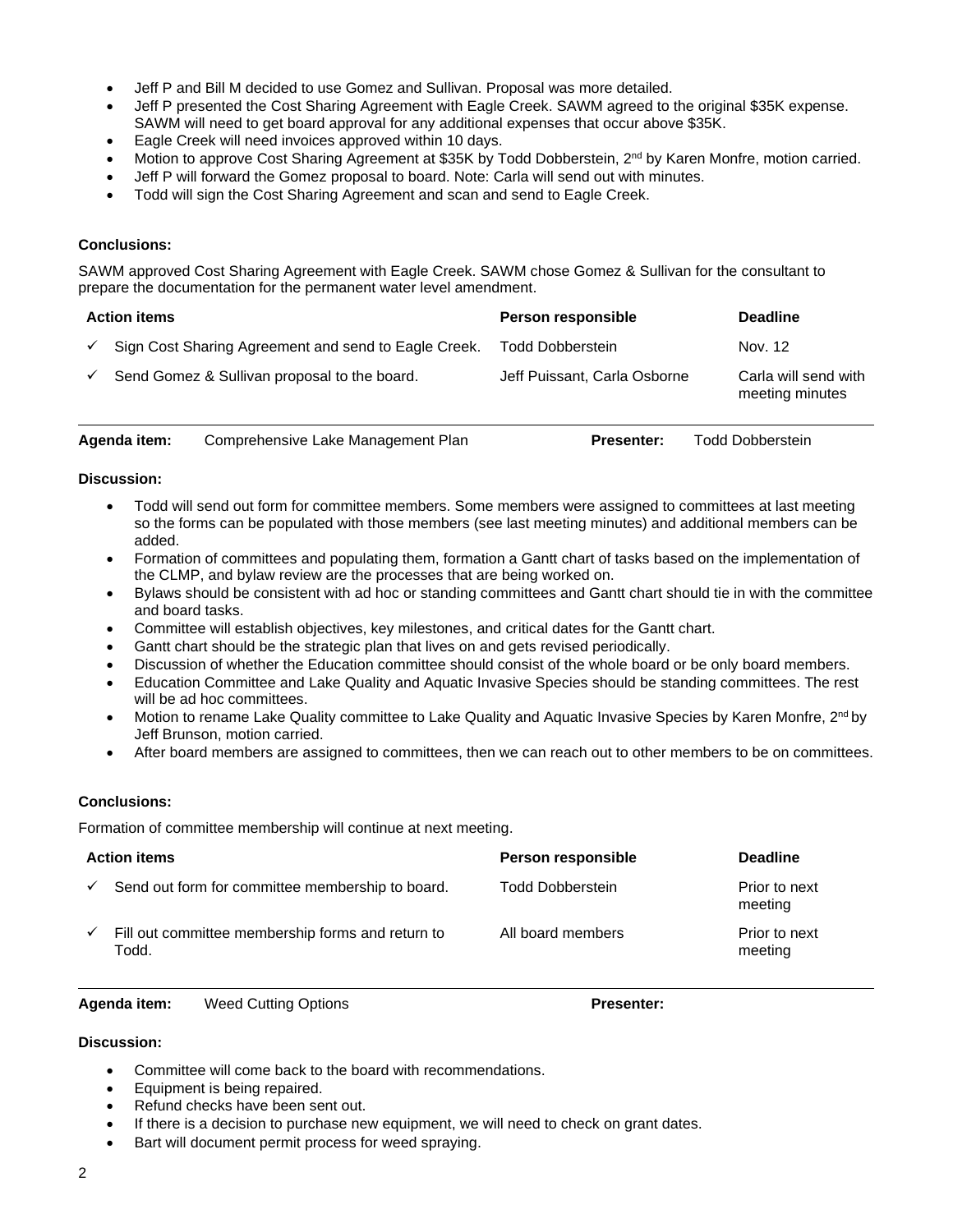- Jeff P and Bill M decided to use Gomez and Sullivan. Proposal was more detailed.
- Jeff P presented the Cost Sharing Agreement with Eagle Creek. SAWM agreed to the original \$35K expense. SAWM will need to get board approval for any additional expenses that occur above \$35K.
- Eagle Creek will need invoices approved within 10 days.
- Motion to approve Cost Sharing Agreement at \$35K by Todd Dobberstein, 2<sup>nd</sup> by Karen Monfre, motion carried.
- Jeff P will forward the Gomez proposal to board. Note: Carla will send out with minutes.
- Todd will sign the Cost Sharing Agreement and scan and send to Eagle Creek.

#### **Conclusions:**

SAWM approved Cost Sharing Agreement with Eagle Creek. SAWM chose Gomez & Sullivan for the consultant to prepare the documentation for the permanent water level amendment.

| <b>Action items</b> |                                                      | Person responsible           | <b>Deadline</b>                         |
|---------------------|------------------------------------------------------|------------------------------|-----------------------------------------|
| $\checkmark$        | Sign Cost Sharing Agreement and send to Eagle Creek. | <b>Todd Dobberstein</b>      | Nov. 12                                 |
| $\checkmark$        | Send Gomez & Sullivan proposal to the board.         | Jeff Puissant, Carla Osborne | Carla will send with<br>meeting minutes |

| Agenda item: | Comprehensive Lake Management Plan |  |
|--------------|------------------------------------|--|
|              |                                    |  |

**Presenter:** Todd Dobberstein

#### **Discussion:**

- Todd will send out form for committee members. Some members were assigned to committees at last meeting so the forms can be populated with those members (see last meeting minutes) and additional members can be added.
- Formation of committees and populating them, formation a Gantt chart of tasks based on the implementation of the CLMP, and bylaw review are the processes that are being worked on.
- Bylaws should be consistent with ad hoc or standing committees and Gantt chart should tie in with the committee and board tasks.
- Committee will establish objectives, key milestones, and critical dates for the Gantt chart.
- Gantt chart should be the strategic plan that lives on and gets revised periodically.
- Discussion of whether the Education committee should consist of the whole board or be only board members.
- Education Committee and Lake Quality and Aquatic Invasive Species should be standing committees. The rest will be ad hoc committees.
- Motion to rename Lake Quality committee to Lake Quality and Aquatic Invasive Species by Karen Monfre, 2<sup>nd</sup> by Jeff Brunson, motion carried.
- After board members are assigned to committees, then we can reach out to other members to be on committees.

#### **Conclusions:**

Formation of committee membership will continue at next meeting.

|              | <b>Action items</b>                                        | Person responsible      | <b>Deadline</b>          |
|--------------|------------------------------------------------------------|-------------------------|--------------------------|
| $\checkmark$ | Send out form for committee membership to board.           | <b>Todd Dobberstein</b> | Prior to next<br>meeting |
| $\checkmark$ | Fill out committee membership forms and return to<br>Todd. | All board members       | Prior to next<br>meeting |

#### **Agenda item:** Weed Cutting Options **Presenter:**

#### **Discussion:**

- Committee will come back to the board with recommendations.
- Equipment is being repaired.
- Refund checks have been sent out.
- If there is a decision to purchase new equipment, we will need to check on grant dates.
- Bart will document permit process for weed spraying.